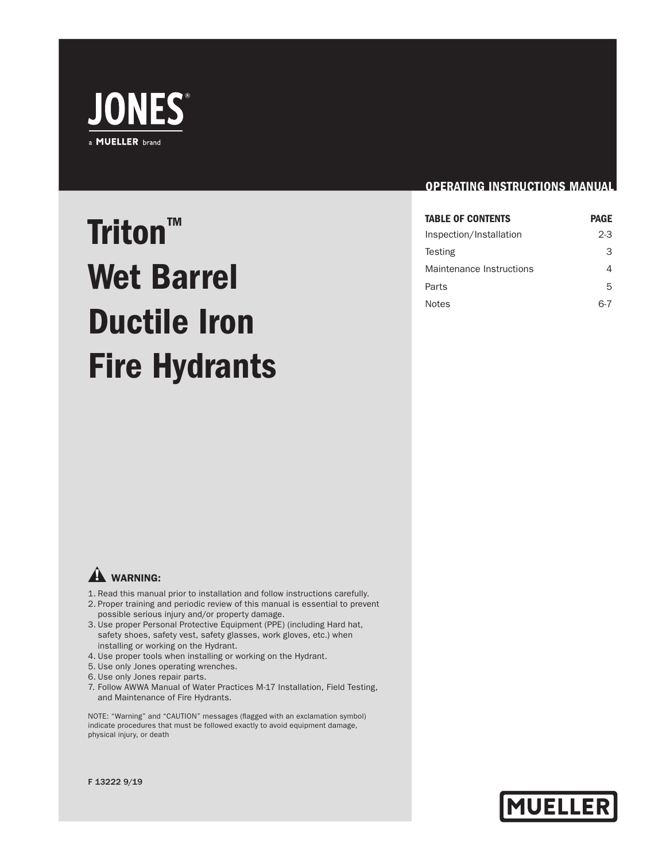

# Triton™ Wet Barrel Ductile Iron Fire Hydrants

#### OPERATING INSTRUCTIONS MANUAL

| <b>TABLE OF CONTENTS</b> | <b>PAGE</b> |
|--------------------------|-------------|
| Inspection/Installation  | $2-3$       |
| Testing                  | З           |
| Maintenance Instructions | 4           |
| Parts                    | 5           |
| <b>Notes</b>             |             |

## **A** WARNING:

- 1. Read this manual prior to installation and follow instructions carefully.
- 2. Proper training and periodic review of this manual is essential to prevent possible serious injury and/or property damage.
- 3. Use proper Personal Protective Equipment (PPE) (including Hard hat, safety shoes, safety vest, safety glasses, work gloves, etc.) when installing or working on the Hydrant.
- 4. Use proper tools when installing or working on the Hydrant.
- 5. Use only Jones operating wrenches.
- 6. Use only Jones repair parts.
- 7. Follow AWWA Manual of Water Practices M-17 Installation, Field Testing, and Maintenance of Fire Hydrants.

NOTE: "Warning" and "CAUTION" messages (flagged with an exclamation symbol) indicate procedures that must be followed exactly to avoid equipment damage, physical injury, or death

**MUELLER** 

#### F 13222 9/19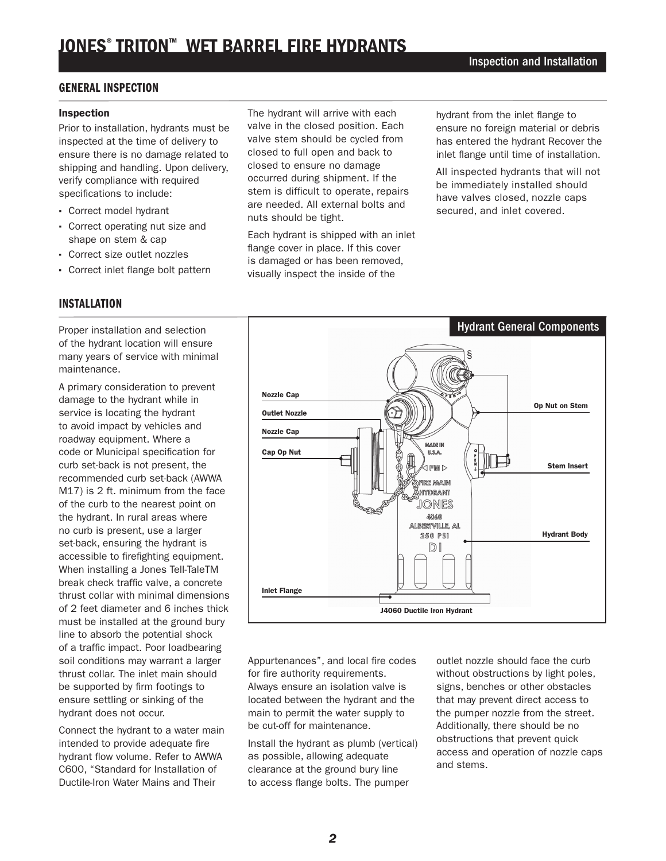# JONES® TRITON™ WET BARREL FIRE HYDRANTS

#### GENERAL INSPECTION

#### Inspection

Prior to installation, hydrants must be inspected at the time of delivery to ensure there is no damage related to shipping and handling. Upon delivery, verify compliance with required specifications to include:

- · Correct model hydrant
- · Correct operating nut size and shape on stem & cap
- · Correct size outlet nozzles
- · Correct inlet flange bolt pattern

#### INSTALLATION

Proper installation and selection of the hydrant location will ensure many years of service with minimal maintenance.

A primary consideration to prevent damage to the hydrant while in service is locating the hydrant to avoid impact by vehicles and roadway equipment. Where a code or Municipal specification for curb set-back is not present, the recommended curb set-back (AWWA M17) is 2 ft. minimum from the face of the curb to the nearest point on the hydrant. In rural areas where no curb is present, use a larger set-back, ensuring the hydrant is accessible to firefighting equipment. When installing a Jones Tell-TaleTM break check traffic valve, a concrete thrust collar with minimal dimensions of 2 feet diameter and 6 inches thick must be installed at the ground bury line to absorb the potential shock of a traffic impact. Poor loadbearing soil conditions may warrant a larger thrust collar. The inlet main should be supported by firm footings to ensure settling or sinking of the hydrant does not occur.

Connect the hydrant to a water main intended to provide adequate fire hydrant flow volume. Refer to AWWA C600, "Standard for Installation of Ductile-Iron Water Mains and Their

The hydrant will arrive with each valve in the closed position. Each valve stem should be cycled from closed to full open and back to closed to ensure no damage occurred during shipment. If the stem is difficult to operate, repairs are needed. All external bolts and nuts should be tight.

Each hydrant is shipped with an inlet flange cover in place. If this cover is damaged or has been removed, visually inspect the inside of the

hydrant from the inlet flange to ensure no foreign material or debris has entered the hydrant Recover the inlet flange until time of installation.

All inspected hydrants that will not be immediately installed should have valves closed, nozzle caps secured, and inlet covered.



Appurtenances", and local fire codes for fire authority requirements. Always ensure an isolation valve is located between the hydrant and the main to permit the water supply to be cut-off for maintenance.

Install the hydrant as plumb (vertical) as possible, allowing adequate clearance at the ground bury line to access flange bolts. The pumper

outlet nozzle should face the curb without obstructions by light poles, signs, benches or other obstacles that may prevent direct access to the pumper nozzle from the street. Additionally, there should be no obstructions that prevent quick access and operation of nozzle caps and stems.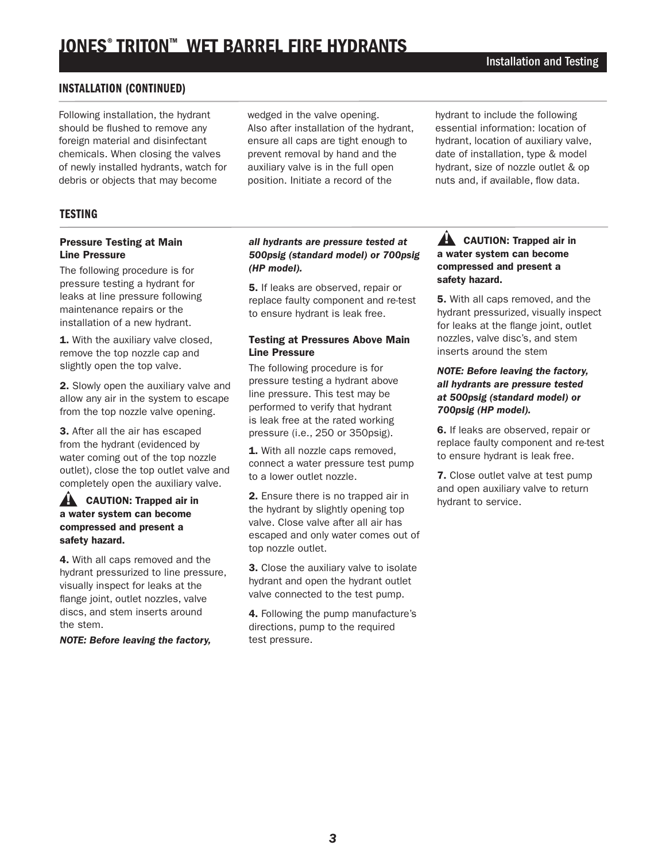# JONES® TRITON™ WET BARREL FIRE HYDRANTS

#### INSTALLATION (CONTINUED)

Following installation, the hydrant should be flushed to remove any foreign material and disinfectant chemicals. When closing the valves of newly installed hydrants, watch for debris or objects that may become

wedged in the valve opening. Also after installation of the hydrant, ensure all caps are tight enough to prevent removal by hand and the auxiliary valve is in the full open position. Initiate a record of the

hydrant to include the following essential information: location of hydrant, location of auxiliary valve, date of installation, type & model hydrant, size of nozzle outlet & op nuts and, if available, flow data.

#### **TESTING**

#### Pressure Testing at Main Line Pressure

The following procedure is for pressure testing a hydrant for leaks at line pressure following maintenance repairs or the installation of a new hydrant.

1. With the auxiliary valve closed, remove the top nozzle cap and slightly open the top valve.

2. Slowly open the auxiliary valve and allow any air in the system to escape from the top nozzle valve opening.

3. After all the air has escaped from the hydrant (evidenced by water coming out of the top nozzle outlet), close the top outlet valve and completely open the auxiliary valve.

#### $\triangle$  CAUTION: Trapped air in a water system can become compressed and present a safety hazard.

4. With all caps removed and the hydrant pressurized to line pressure, visually inspect for leaks at the flange joint, outlet nozzles, valve discs, and stem inserts around the stem.

*NOTE: Before leaving the factory,* 

#### *all hydrants are pressure tested at 500psig (standard model) or 700psig (HP model).*

5. If leaks are observed, repair or replace faulty component and re-test to ensure hydrant is leak free.

#### Testing at Pressures Above Main Line Pressure

The following procedure is for pressure testing a hydrant above line pressure. This test may be performed to verify that hydrant is leak free at the rated working pressure (i.e., 250 or 350psig).

1. With all nozzle caps removed. connect a water pressure test pump to a lower outlet nozzle.

2. Ensure there is no trapped air in the hydrant by slightly opening top valve. Close valve after all air has escaped and only water comes out of top nozzle outlet.

3. Close the auxiliary valve to isolate hydrant and open the hydrant outlet valve connected to the test pump.

4. Following the pump manufacture's directions, pump to the required test pressure.

#### $\hat{A}$  CAUTION: Trapped air in a water system can become compressed and present a safety hazard.

5. With all caps removed, and the hydrant pressurized, visually inspect for leaks at the flange joint, outlet nozzles, valve disc's, and stem inserts around the stem

#### *NOTE: Before leaving the factory, all hydrants are pressure tested at 500psig (standard model) or 700psig (HP model).*

6. If leaks are observed, repair or replace faulty component and re-test to ensure hydrant is leak free.

7. Close outlet valve at test pump and open auxiliary valve to return hydrant to service.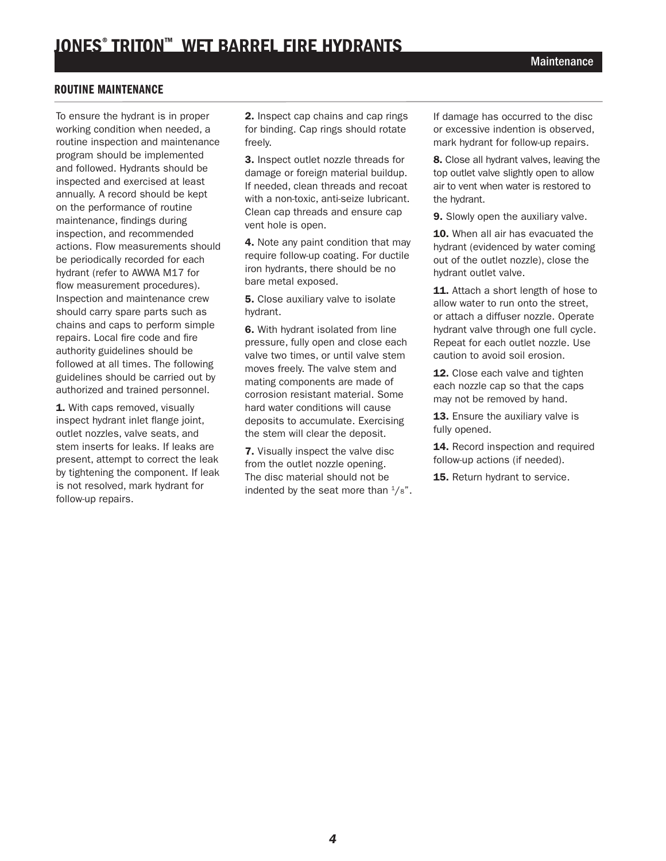### ROUTINE MAINTENANCE

To ensure the hydrant is in proper working condition when needed, a routine inspection and maintenance program should be implemented and followed. Hydrants should be inspected and exercised at least annually. A record should be kept on the performance of routine maintenance, findings during inspection, and recommended actions. Flow measurements should be periodically recorded for each hydrant (refer to AWWA M17 for flow measurement procedures). Inspection and maintenance crew should carry spare parts such as chains and caps to perform simple repairs. Local fire code and fire authority guidelines should be followed at all times. The following guidelines should be carried out by authorized and trained personnel.

1. With caps removed, visually inspect hydrant inlet flange joint, outlet nozzles, valve seats, and stem inserts for leaks. If leaks are present, attempt to correct the leak by tightening the component. If leak is not resolved, mark hydrant for follow-up repairs.

2. Inspect cap chains and cap rings for binding. Cap rings should rotate freely.

3. Inspect outlet nozzle threads for damage or foreign material buildup. If needed, clean threads and recoat with a non-toxic, anti-seize lubricant. Clean cap threads and ensure cap vent hole is open.

4. Note any paint condition that may require follow-up coating. For ductile iron hydrants, there should be no bare metal exposed.

**5.** Close auxiliary valve to isolate hydrant.

6. With hydrant isolated from line pressure, fully open and close each valve two times, or until valve stem moves freely. The valve stem and mating components are made of corrosion resistant material. Some hard water conditions will cause deposits to accumulate. Exercising the stem will clear the deposit.

7. Visually inspect the valve disc from the outlet nozzle opening. The disc material should not be indented by the seat more than  $\frac{1}{8}$ ". If damage has occurred to the disc or excessive indention is observed, mark hydrant for follow-up repairs.

8. Close all hydrant valves, leaving the top outlet valve slightly open to allow air to vent when water is restored to the hydrant.

9. Slowly open the auxiliary valve.

10. When all air has evacuated the hydrant (evidenced by water coming out of the outlet nozzle), close the hydrant outlet valve.

11. Attach a short length of hose to allow water to run onto the street, or attach a diffuser nozzle. Operate hydrant valve through one full cycle. Repeat for each outlet nozzle. Use caution to avoid soil erosion.

12. Close each valve and tighten each nozzle cap so that the caps may not be removed by hand.

13. Ensure the auxiliary valve is fully opened.

14. Record inspection and required follow-up actions (if needed).

15. Return hydrant to service.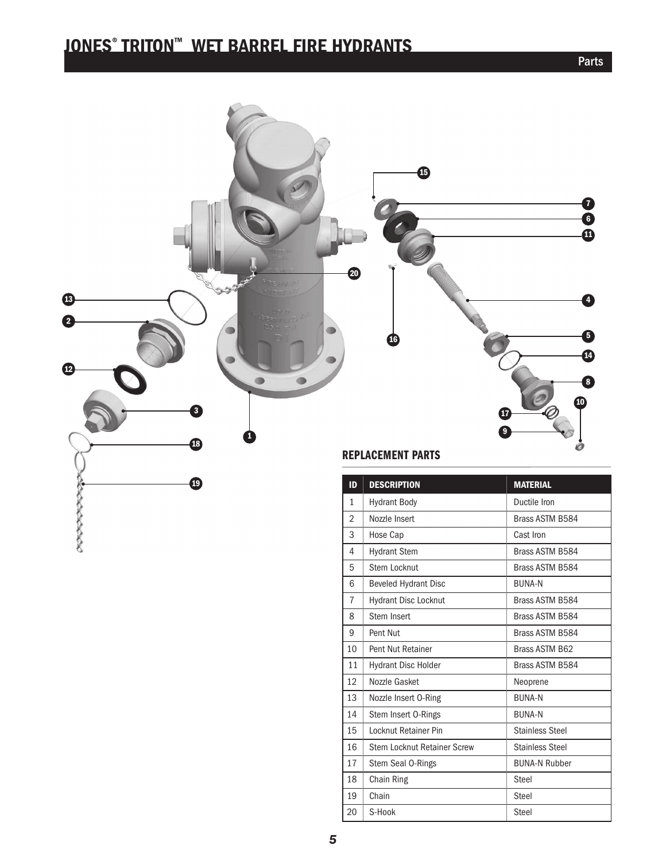## JONES® TRITON™ WET BARREL FIRE HYDRANTS



| שו             | DESCRIPTION                 | IVIALE KIAL            |
|----------------|-----------------------------|------------------------|
| $\mathbf{1}$   | <b>Hydrant Body</b>         | Ductile Iron           |
| $\overline{2}$ | Nozzle Insert               | Brass ASTM B584        |
| 3              | Hose Cap                    | Cast Iron              |
| 4              | <b>Hydrant Stem</b>         | Brass ASTM B584        |
| 5              | Stem Locknut                | Brass ASTM B584        |
| 6              | <b>Beveled Hydrant Disc</b> | <b>BUNA-N</b>          |
| $\overline{7}$ | <b>Hydrant Disc Locknut</b> | Brass ASTM B584        |
| 8              | Stem Insert                 | Brass ASTM B584        |
| 9              | Pent Nut                    | Brass ASTM B584        |
| 10             | Pent Nut Retainer           | Brass ASTM B62         |
| 11             | <b>Hydrant Disc Holder</b>  | Brass ASTM B584        |
| 12             | Nozzle Gasket               | Neoprene               |
| 13             | Nozzle Insert O-Ring        | <b>BUNA-N</b>          |
| 14             | Stem Insert 0-Rings         | <b>BUNA-N</b>          |
| 15             | Locknut Retainer Pin        | <b>Stainless Steel</b> |
| 16             | Stem Locknut Retainer Screw | <b>Stainless Steel</b> |
| 17             | Stem Seal O-Rings           | <b>BUNA-N Rubber</b>   |
| 18             | Chain Ring                  | Steel                  |
| 19             | Chain                       | Steel                  |
| 20             | S-Hook                      | <b>Steel</b>           |

Parts